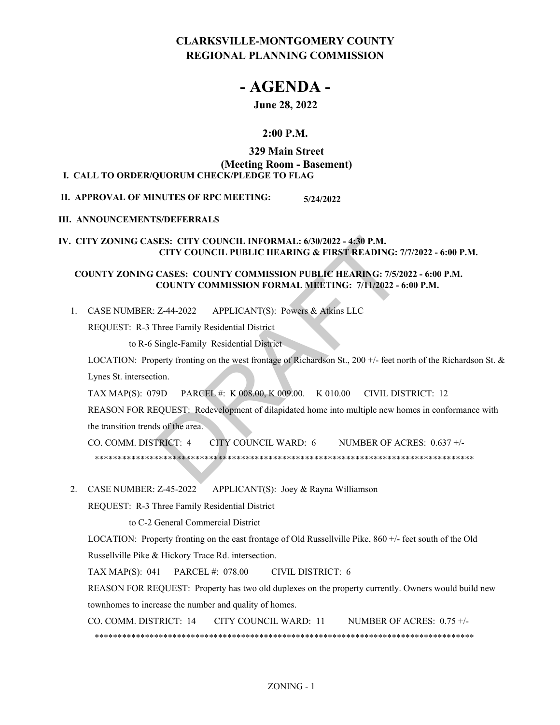# **CLARKSVILLE-MONTGOMERY COUNTY REGIONAL PLANNING COMMISSION**

# **- AGENDA -**

# **June 28, 2022**

# **2:00 P.M.**

## **329 Main Street**

# **(Meeting Room - Basement)**

# **I.** CALL TO ORDER/QUORUM CHECK/PLEDGE TO FLAG

**II. APPROVAL OF MINUTES OF RPC MEETING: 5/24/2022**

# **III. ANNOUNCEMENTS/DEFERRALS**

## **IV. CITY ZONING CASES: CITY COUNCIL INFORMAL: 6/30/2022 - 4:30 P.M. CITY COUNCIL PUBLIC HEARING & FIRST READING: 7/7/2022 - 6:00 P.M.**

# **COUNTY ZONING CASES: COUNTY COMMISSION PUBLIC HEARING: 7/5/2022 - 6:00 P.M. COUNTY COMMISSION FORMAL MEETING: 7/11/2022 - 6:00 P.M.**

APPLICANT(S): Powers & Atkins LLC 1. CASE NUMBER: Z-44-2022

REQUEST: R-3 Three Family Residential District

to R-6 Single-Family Residential District

LOCATION: Property fronting on the west frontage of Richardson St., 200 +/- feet north of the Richardson St. & Lynes St. intersection. SES: CITY COUNCIL INFORMAL: 6/30/2022 - 4:30 P.M.<br>
CITY COUNCIL PUBLIC HEARING & FIRST READING: 7.<br>
CASES: COUNTY COMMISSION PUBLIC HEARING: 7/5/2<br>
COUNTY COMMISSION FORMAL MEETING: 7/11/2022 - 6<br>
Z-44-2022 APPLICANT(S): P

TAX MAP(S): 079D PARCEL #: K 008.00, K 009.00. K 010.00 CIVIL DISTRICT: 12

REASON FOR REQUEST: Redevelopment of dilapidated home into multiple new homes in conformance with the transition trends of the area.

CO. COMM. DISTRICT: 4 CITY COUNCIL WARD: 6 NUMBER OF ACRES: 0.637 +/- \*\*\*\*\*\*\*\*\*\*\*\*\*\*\*\*\*\*\*\*\*\*\*\*\*\*\*\*\*\*\*\*\*\*\*\*\*\*\*\*\*\*\*\*\*\*\*\*\*\*\*\*\*\*\*\*\*\*\*\*\*\*\*\*\*\*\*\*\*\*\*\*\*\*\*\*\*\*\*\*\*\*\*

APPLICANT(S): Joey & Rayna Williamson 2. CASE NUMBER: Z-45-2022

REQUEST: R-3 Three Family Residential District

to C-2 General Commercial District

LOCATION: Property fronting on the east frontage of Old Russellville Pike, 860 +/- feet south of the Old Russellville Pike & Hickory Trace Rd. intersection.

TAX MAP(S): 041 PARCEL #: 078.00 CIVIL DISTRICT: 6

REASON FOR REQUEST: Property has two old duplexes on the property currently. Owners would build new townhomes to increase the number and quality of homes.

CO. COMM. DISTRICT: 14 CITY COUNCIL WARD: 11 NUMBER OF ACRES: 0.75 +/- \*\*\*\*\*\*\*\*\*\*\*\*\*\*\*\*\*\*\*\*\*\*\*\*\*\*\*\*\*\*\*\*\*\*\*\*\*\*\*\*\*\*\*\*\*\*\*\*\*\*\*\*\*\*\*\*\*\*\*\*\*\*\*\*\*\*\*\*\*\*\*\*\*\*\*\*\*\*\*\*\*\*\*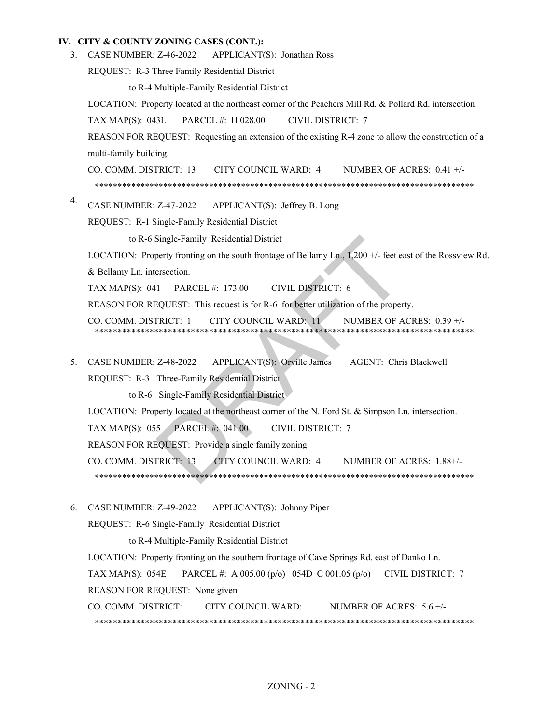#### **IV. CITY & COUNTY ZONING CASES (CONT.):**

3. CASE NUMBER: Z-46-2022 APPLICANT(S): Jonathan Ross

REQUEST: R-3 Three Family Residential District

to R-4 Multiple-Family Residential District

LOCATION: Property located at the northeast corner of the Peachers Mill Rd. & Pollard Rd. intersection.

TAX MAP(S): 043L PARCEL #: H 028.00 CIVIL DISTRICT: 7

REASON FOR REQUEST: Requesting an extension of the existing R-4 zone to allow the construction of a multi-family building.

CO. COMM. DISTRICT: 13 CITY COUNCIL WARD: 4 NUMBER OF ACRES: 0.41 +/- \*\*\*\*\*\*\*\*\*\*\*\*\*\*\*\*\*\*\*\*\*\*\*\*\*\*\*\*\*\*\*\*\*\*\*\*\*\*\*\*\*\*\*\*\*\*\*\*\*\*\*\*\*\*\*\*\*\*\*\*\*\*\*\*\*\*\*\*\*\*\*\*\*\*\*\*\*\*\*\*\*\*\*

CASE NUMBER: Z-47-2022 APPLICANT(S): Jeffrey B. Long 4.

REQUEST: R-1 Single-Family Residential District

to R-6 Single-Family Residential District

LOCATION: Property fronting on the south frontage of Bellamy Ln., 1,200 +/- feet east of the Rossview Rd. & Bellamy Ln. intersection. Single-Family Residential District<br>
2008 - Party fronting on the south frontage of Bellamy Ln., 1,200 +/- feet ex-<br>
1 PARCEL #: 173.00 CIVIL DISTRICT: 6<br>
200EST: This request is for R-6 for better utilization of the proper

TAX MAP(S): 041 PARCEL #: 173.00 CIVIL DISTRICT: 6

REASON FOR REQUEST: This request is for R-6 for better utilization of the property.

CO. COMM. DISTRICT: 1 CITY COUNCIL WARD: 11 NUMBER OF ACRES: 0.39 +/- \*\*\*\*\*\*\*\*\*\*\*\*\*\*\*\*\*\*\*\*\*\*\*\*\*\*\*\*\*\*\*\*\*\*\*\*\*\*\*\*\*\*\*\*\*\*\*\*\*\*\*\*\*\*\*\*\*\*\*\*\*\*\*\*\*\*\*\*\*\*\*\*\*\*\*\*\*\*\*\*\*\*\*

APPLICANT(S): Orville James AGENT: Chris Blackwell REQUEST: R-3 Three-Family Residential District 5. CASE NUMBER: Z-48-2022

to R-6 Single-Family Residential District

LOCATION: Property located at the northeast corner of the N. Ford St. & Simpson Ln. intersection.

TAX MAP(S): 055 PARCEL #: 041.00 CIVIL DISTRICT: 7

REASON FOR REQUEST: Provide a single family zoning

CO. COMM. DISTRICT: 13 CITY COUNCIL WARD: 4 NUMBER OF ACRES: 1.88+/- \*\*\*\*\*\*\*\*\*\*\*\*\*\*\*\*\*\*\*\*\*\*\*\*\*\*\*\*\*\*\*\*\*\*\*\*\*\*\*\*\*\*\*\*\*\*\*\*\*\*\*\*\*\*\*\*\*\*\*\*\*\*\*\*\*\*\*\*\*\*\*\*\*\*\*\*\*\*\*\*\*\*\*

APPLICANT(S): Johnny Piper 6. CASE NUMBER: Z-49-2022

REQUEST: R-6 Single-Family Residential District

to R-4 Multiple-Family Residential District

LOCATION: Property fronting on the southern frontage of Cave Springs Rd. east of Danko Ln.

TAX MAP(S): 054E PARCEL #: A 005.00 (p/o) 054D C 001.05 (p/o) CIVIL DISTRICT: 7

REASON FOR REQUEST: None given

CO. COMM. DISTRICT: CITY COUNCIL WARD: NUMBER OF ACRES: 5.6 +/- \*\*\*\*\*\*\*\*\*\*\*\*\*\*\*\*\*\*\*\*\*\*\*\*\*\*\*\*\*\*\*\*\*\*\*\*\*\*\*\*\*\*\*\*\*\*\*\*\*\*\*\*\*\*\*\*\*\*\*\*\*\*\*\*\*\*\*\*\*\*\*\*\*\*\*\*\*\*\*\*\*\*\*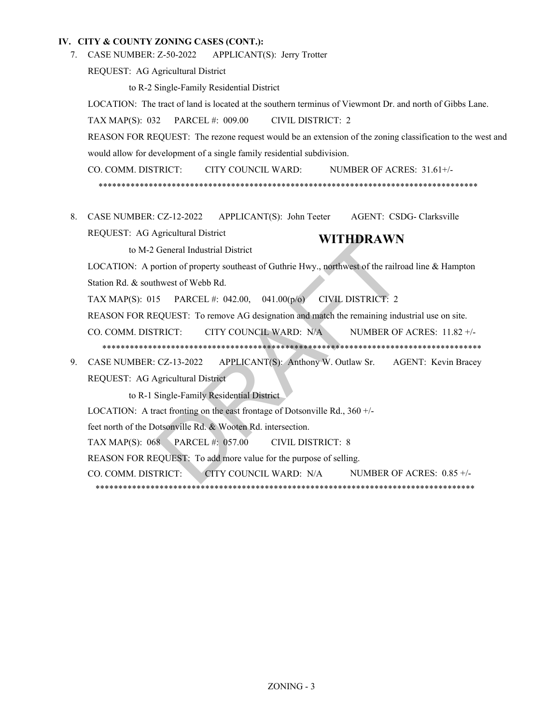#### **IV. CITY & COUNTY ZONING CASES (CONT.):**

APPLICANT(S): Jerry Trotter 7. CASE NUMBER: Z-50-2022

REQUEST: AG Agricultural District

to R-2 Single-Family Residential District

LOCATION: The tract of land is located at the southern terminus of Viewmont Dr. and north of Gibbs Lane.

TAX MAP(S): 032 PARCEL #: 009.00 CIVIL DISTRICT: 2

REASON FOR REQUEST: The rezone request would be an extension of the zoning classification to the west and would allow for development of a single family residential subdivision.

CO. COMM. DISTRICT: CITY COUNCIL WARD: NUMBER OF ACRES: 31.61+/- \*\*\*\*\*\*\*\*\*\*\*\*\*\*\*\*\*\*\*\*\*\*\*\*\*\*\*\*\*\*\*\*\*\*\*\*\*\*\*\*\*\*\*\*\*\*\*\*\*\*\*\*\*\*\*\*\*\*\*\*\*\*\*\*\*\*\*\*\*\*\*\*\*\*\*\*\*\*\*\*\*\*\*

8. CASE NUMBER: CZ-12-2022 APPLICANT(S): John Teeter AGENT: CSDG- Clarksville REQUEST: AG Agricultural District **WITHDRAWN**

to M-2 General Industrial District

LOCATION: A portion of property southeast of Guthrie Hwy., northwest of the railroad line & Hampton Station Rd. & southwest of Webb Rd. WITHDRAWN<br>
General Industrial District<br>
ortion of property southeast of Guthrie Hwy., northwest of the railro<br>
hwest of Webb Rd.<br>
5 PARCEL #: 042.00, 041.00(p/o) CIVIL DISTRICT: 2<br>
iQUEST: To remove AG designation and matc

TAX MAP(S): 015 PARCEL #: 042.00, 041.00(p/o) CIVIL DISTRICT: 2

REASON FOR REQUEST: To remove AG designation and match the remaining industrial use on site.

- CO. COMM. DISTRICT: CITY COUNCIL WARD: N/A NUMBER OF ACRES: 11.82 +/- \*\*\*\*\*\*\*\*\*\*\*\*\*\*\*\*\*\*\*\*\*\*\*\*\*\*\*\*\*\*\*\*\*\*\*\*\*\*\*\*\*\*\*\*\*\*\*\*\*\*\*\*\*\*\*\*\*\*\*\*\*\*\*\*\*\*\*\*\*\*\*\*\*\*\*\*\*\*\*\*\*\*\*
- 
- APPLICANT(S): Anthony W. Outlaw Sr. AGENT: Kevin Bracey REQUEST: AG Agricultural District 9. CASE NUMBER: CZ-13-2022

to R-1 Single-Family Residential District

LOCATION: A tract fronting on the east frontage of Dotsonville Rd., 360 +/-

feet north of the Dotsonville Rd. & Wooten Rd. intersection.

TAX MAP(S): 068 PARCEL #: 057.00 CIVIL DISTRICT: 8

REASON FOR REQUEST: To add more value for the purpose of selling.

CO. COMM. DISTRICT: CITY COUNCIL WARD: N/A NUMBER OF ACRES: 0.85 +/-

\*\*\*\*\*\*\*\*\*\*\*\*\*\*\*\*\*\*\*\*\*\*\*\*\*\*\*\*\*\*\*\*\*\*\*\*\*\*\*\*\*\*\*\*\*\*\*\*\*\*\*\*\*\*\*\*\*\*\*\*\*\*\*\*\*\*\*\*\*\*\*\*\*\*\*\*\*\*\*\*\*\*\*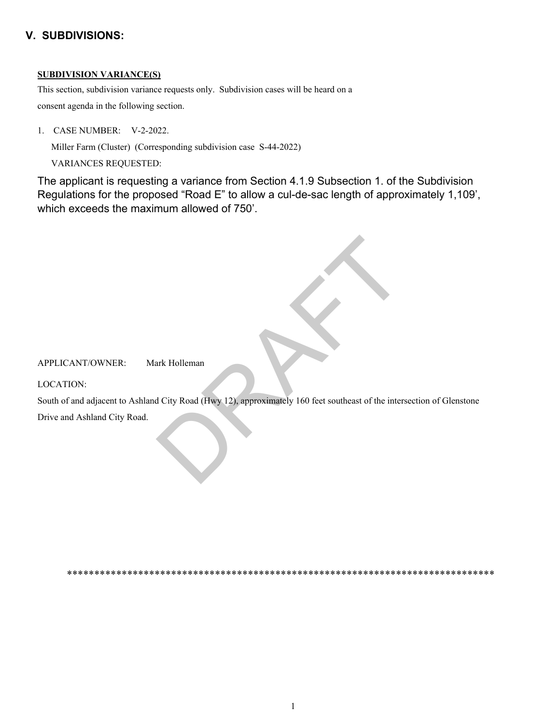# **V. SUBDIVISIONS:**

### **SUBDIVISION VARIANCE(S)**

This section, subdivision variance requests only. Subdivision cases will be heard on a

consent agenda in the following section.

1. CASE NUMBER: V-2-2022.

Miller Farm (Cluster) (Corresponding subdivision case S-44-2022)

VARIANCES REQUESTED:

The applicant is requesting a variance from Section 4.1.9 Subsection 1. of the Subdivision Regulations for the proposed "Road E" to allow a cul-de-sac length of approximately 1,109', which exceeds the maximum allowed of 750'.

APPLICANT/OWNER: Mark Holleman

LOCATION:

South of and adjacent to Ashland City Road (Hwy 12), approximately 160 feet southeast of the intersection of Glenstone Drive and Ashland City Road. ark Holleman<br>d City Road (Hwy 12), approximately 160 feet southeast of the inter-

\*\*\*\*\*\*\*\*\*\*\*\*\*\*\*\*\*\*\*\*\*\*\*\*\*\*\*\*\*\*\*\*\*\*\*\*\*\*\*\*\*\*\*\*\*\*\*\*\*\*\*\*\*\*\*\*\*\*\*\*\*\*\*\*\*\*\*\*\*\*\*\*\*\*\*\*\*\*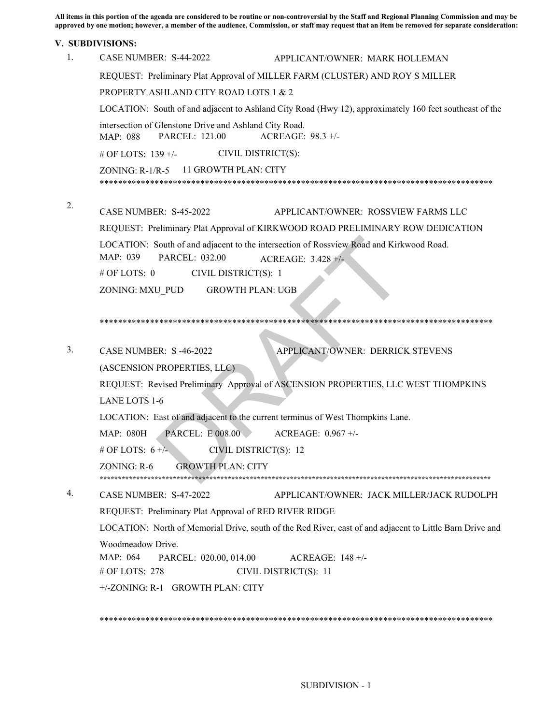**All items in this portion of the agenda are considered to be routine or non-controversial by the Staff and Regional Planning Commission and may be**  approved by one motion; however, a member of the audience, Commission, or staff may request that an item be removed for separate consideration:

#### **V. SUBDIVISIONS:**

| 1. | CASE NUMBER: S-44-2022<br>APPLICANT/OWNER: MARK HOLLEMAN                                                              |
|----|-----------------------------------------------------------------------------------------------------------------------|
|    | REQUEST: Preliminary Plat Approval of MILLER FARM (CLUSTER) AND ROY S MILLER                                          |
|    | PROPERTY ASHLAND CITY ROAD LOTS 1 & 2                                                                                 |
|    | LOCATION: South of and adjacent to Ashland City Road (Hwy 12), approximately 160 feet southeast of the                |
|    | intersection of Glenstone Drive and Ashland City Road.<br>PARCEL: 121.00<br>ACREAGE: 98.3 +/-<br>MAP: 088             |
|    | CIVIL DISTRICT(S):<br># OF LOTS: 139 +/-                                                                              |
|    | 11 GROWTH PLAN: CITY<br>$ZONING: R-1/R-5$                                                                             |
|    |                                                                                                                       |
| 2. |                                                                                                                       |
|    | CASE NUMBER: S-45-2022<br>APPLICANT/OWNER: ROSSVIEW FARMS LLC                                                         |
|    | REQUEST: Preliminary Plat Approval of KIRKWOOD ROAD PRELIMINARY ROW DEDICATION                                        |
|    | LOCATION: South of and adjacent to the intersection of Rossview Road and Kirkwood Road.<br>MAP: 039<br>PARCEL: 032.00 |
|    | ACREAGE: 3.428 +/-<br># OF LOTS: 0<br>CIVIL DISTRICT(S): 1                                                            |
|    | <b>GROWTH PLAN: UGB</b><br>ZONING: MXU PUD                                                                            |
|    |                                                                                                                       |
|    |                                                                                                                       |
|    |                                                                                                                       |
| 3. | APPLICANT/OWNER: DERRICK STEVENS<br><b>CASE NUMBER: S-46-2022</b>                                                     |
|    | (ASCENSION PROPERTIES, LLC)                                                                                           |
|    | REQUEST: Revised Preliminary Approval of ASCENSION PROPERTIES, LLC WEST THOMPKINS                                     |
|    | LANE LOTS 1-6                                                                                                         |
|    | LOCATION: East of and adjacent to the current terminus of West Thompkins Lane.                                        |
|    | <b>PARCEL: E 008.00</b><br>ACREAGE: 0.967 +/-<br>MAP: 080H                                                            |
|    | # OF LOTS: $6 +$ /-<br>CIVIL DISTRICT(S): 12                                                                          |
|    | ZONING: R-6<br><b>GROWTH PLAN: CITY</b>                                                                               |
|    |                                                                                                                       |
| 4. | CASE NUMBER: S-47-2022<br>APPLICANT/OWNER: JACK MILLER/JACK RUDOLPH                                                   |
|    | REQUEST: Preliminary Plat Approval of RED RIVER RIDGE                                                                 |
|    | LOCATION: North of Memorial Drive, south of the Red River, east of and adjacent to Little Barn Drive and              |
|    | Woodmeadow Drive.                                                                                                     |
|    | MAP: 064<br>PARCEL: 020.00, 014.00<br>ACREAGE: $148 +/-$                                                              |
|    | # OF LOTS: $278$<br>CIVIL DISTRICT(S): 11                                                                             |
|    | +/-ZONING: R-1 GROWTH PLAN: CITY                                                                                      |
|    |                                                                                                                       |

\*\*\*\*\*\*\*\*\*\*\*\*\*\*\*\*\*\*\*\*\*\*\*\*\*\*\*\*\*\*\*\*\*\*\*\*\*\*\*\*\*\*\*\*\*\*\*\*\*\*\*\*\*\*\*\*\*\*\*\*\*\*\*\*\*\*\*\*\*\*\*\*\*\*\*\*\*\*\*\*\*\*\*\*\*\*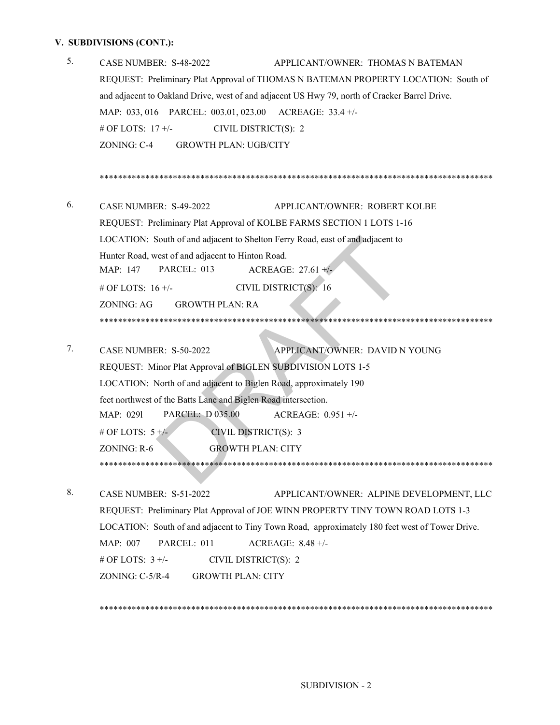# **V. SUBDIVISIONS (CONT.):**

| 5. | CASE NUMBER: S-48-2022<br>APPLICANT/OWNER: THOMAS N BATEMAN                                                   |
|----|---------------------------------------------------------------------------------------------------------------|
|    | REQUEST: Preliminary Plat Approval of THOMAS N BATEMAN PROPERTY LOCATION: South of                            |
|    | and adjacent to Oakland Drive, west of and adjacent US Hwy 79, north of Cracker Barrel Drive.                 |
|    | MAP: 033, 016 PARCEL: 003.01, 023.00 ACREAGE: 33.4 +/-                                                        |
|    | # OF LOTS: 17 +/-<br>CIVIL DISTRICT(S): 2                                                                     |
|    | <b>GROWTH PLAN: UGB/CITY</b><br>ZONING: C-4                                                                   |
|    |                                                                                                               |
|    |                                                                                                               |
| 6. | CASE NUMBER: S-49-2022<br>APPLICANT/OWNER: ROBERT KOLBE                                                       |
|    | REQUEST: Preliminary Plat Approval of KOLBE FARMS SECTION 1 LOTS 1-16                                         |
|    | LOCATION: South of and adjacent to Shelton Ferry Road, east of and adjacent to                                |
|    | Hunter Road, west of and adjacent to Hinton Road.                                                             |
|    | PARCEL: 013<br>MAP: 147<br>ACREAGE: $27.61 +/-$                                                               |
|    | CIVIL DISTRICT(S): 16<br># OF LOTS: $16 +/-$                                                                  |
|    | <b>ZONING: AG</b><br><b>GROWTH PLAN: RA</b>                                                                   |
|    |                                                                                                               |
|    |                                                                                                               |
| 7. | APPLICANT/OWNER: DAVID N YOUNG<br>CASE NUMBER: S-50-2022                                                      |
|    | REQUEST: Minor Plat Approval of BIGLEN SUBDIVISION LOTS 1-5                                                   |
|    | LOCATION: North of and adjacent to Biglen Road, approximately 190                                             |
|    | feet northwest of the Batts Lane and Biglen Road intersection.                                                |
|    | <b>PARCEL: D 035.00</b><br>ACREAGE: $0.951 +/-$<br>MAP: 0291                                                  |
|    | # OF LOTS: $5 +/-$<br>CIVIL DISTRICT(S): 3                                                                    |
|    | ZONING: R-6<br><b>GROWTH PLAN: CITY</b>                                                                       |
|    |                                                                                                               |
| 8. | CASE NUMBER: S-51-2022<br>APPLICANT/OWNER: ALPINE DEVELOPMENT, LLC                                            |
|    | REQUEST: Preliminary Plat Approval of JOE WINN PROPERTY TINY TOWN ROAD LOTS 1-3                               |
|    |                                                                                                               |
|    | LOCATION: South of and adjacent to Tiny Town Road, approximately 180 feet west of Tower Drive.<br>PARCEL: 011 |
|    | MAP: 007<br>ACREAGE: 8.48 +/-<br># OF LOTS: $3 +/-$<br>CIVIL DISTRICT(S): 2                                   |
|    |                                                                                                               |

ZONING: C-5/R-4 GROWTH PLAN: CITY

\*\*\*\*\*\*\*\*\*\*\*\*\*\*\*\*\*\*\*\*\*\*\*\*\*\*\*\*\*\*\*\*\*\*\*\*\*\*\*\*\*\*\*\*\*\*\*\*\*\*\*\*\*\*\*\*\*\*\*\*\*\*\*\*\*\*\*\*\*\*\*\*\*\*\*\*\*\*\*\*\*\*\*\*\*\*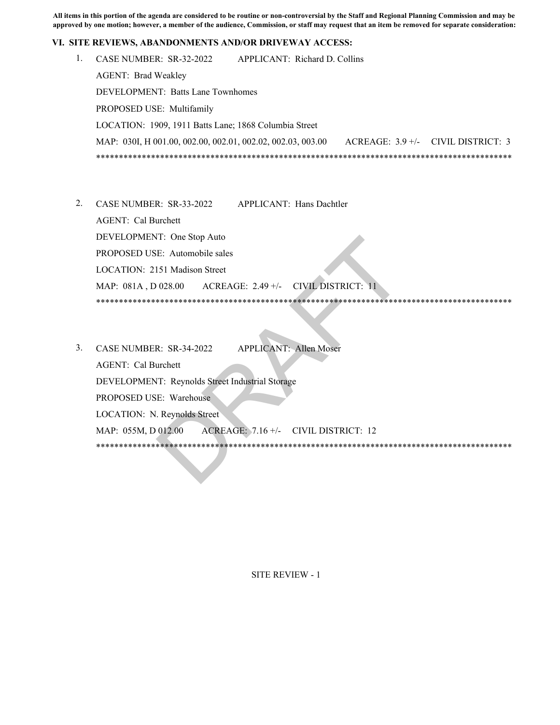**All items in this portion of the agenda are considered to be routine or non-controversial by the Staff and Regional Planning Commission and may be approved by one motion; however, a member of the audience, Commission, or staff may request that an item be removed for separate consideration:** 

#### **VI. SITE REVIEWS, ABANDONMENTS AND/OR DRIVEWAY ACCESS:**

- 1. CASE NUMBER: SR-32-2022 APPLICANT: Richard D. Collins AGENT: Brad Weakley DEVELOPMENT: Batts Lane Townhomes PROPOSED USE: Multifamily LOCATION: 1909, 1911 Batts Lane; 1868 Columbia Street MAP: 030I, H 001.00, 002.00, 002.01, 002.02, 002.03, 003.00 ACREAGE: 3.9 +/- CIVIL DISTRICT: 3 \*\*\*\*\*\*\*\*\*\*\*\*\*\*\*\*\*\*\*\*\*\*\*\*\*\*\*\*\*\*\*\*\*\*\*\*\*\*\*\*\*\*\*\*\*\*\*\*\*\*\*\*\*\*\*\*\*\*\*\*\*\*\*\*\*\*\*\*\*\*\*\*\*\*\*\*\*\*\*\*\*\*\*\*\*\*\*\*\*\*\*
- 2. CASE NUMBER: SR-33-2022 APPLICANT: Hans Dachtler AGENT: Cal Burchett DEVELOPMENT: One Stop Auto PROPOSED USE: Automobile sales LOCATION: 2151 Madison Street MAP: 081A , D 028.00 ACREAGE: 2.49 +/- CIVIL DISTRICT: 11 \*\*\*\*\*\*\*\*\*\*\*\*\*\*\*\*\*\*\*\*\*\*\*\*\*\*\*\*\*\*\*\*\*\*\*\*\*\*\*\*\*\*\*\*\*\*\*\*\*\*\*\*\*\*\*\*\*\*\*\*\*\*\*\*\*\*\*\*\*\*\*\*\*\*\*\*\*\*\*\*\*\*\*\*\*\*\*\*\*\*\*
- CASE NUMBER: SR-34-2022 APPLICANT: Allen Moser 3. AGENT: Cal Burchett DEVELOPMENT: Reynolds Street Industrial Storage PROPOSED USE: Warehouse LOCATION: N. Reynolds Street MAP: 055M, D 012.00 ACREAGE: 7.16 +/- CIVIL DISTRICT: 12 \*\*\*\*\*\*\*\*\*\*\*\*\*\*\*\*\*\*\*\*\*\*\*\*\*\*\*\*\*\*\*\*\*\*\*\*\*\*\*\*\*\*\*\*\*\*\*\*\*\*\*\*\*\*\*\*\*\*\*\*\*\*\*\*\*\*\*\*\*\*\*\*\*\*\*\*\*\*\*\*\*\*\*\*\*\*\*\*\*\*\* DRAFT

SITE REVIEW - 1